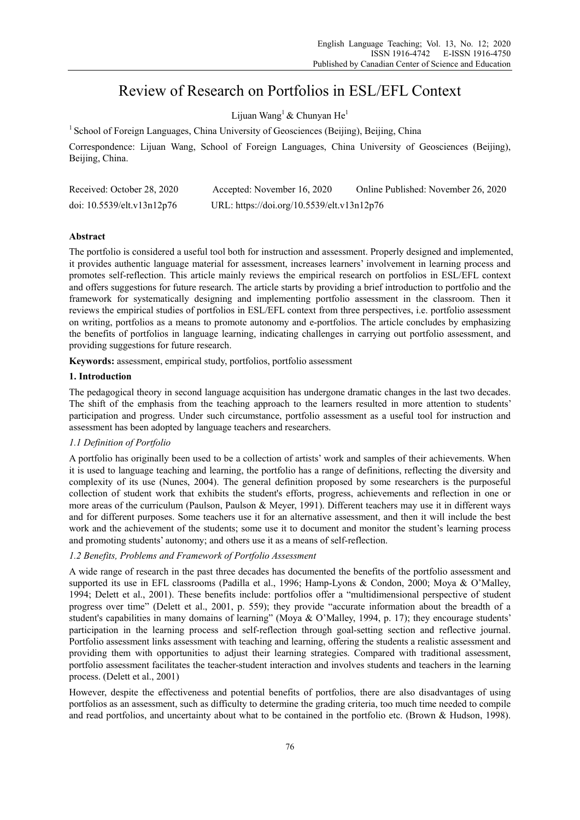# Review of Research on Portfolios in ESL/EFL Context

Lijuan Wang<sup>1</sup> & Chunyan He<sup>1</sup>

<sup>1</sup> School of Foreign Languages, China University of Geosciences (Beijing), Beijing, China

Correspondence: Lijuan Wang, School of Foreign Languages, China University of Geosciences (Beijing), Beijing, China.

| Received: October 28, 2020 | Accepted: November 16, 2020                | Online Published: November 26, 2020 |
|----------------------------|--------------------------------------------|-------------------------------------|
| doi: 10.5539/elt.v13n12p76 | URL: https://doi.org/10.5539/elt.v13n12p76 |                                     |

## **Abstract**

The portfolio is considered a useful tool both for instruction and assessment. Properly designed and implemented, it provides authentic language material for assessment, increases learners' involvement in learning process and promotes self-reflection. This article mainly reviews the empirical research on portfolios in ESL/EFL context and offers suggestions for future research. The article starts by providing a brief introduction to portfolio and the framework for systematically designing and implementing portfolio assessment in the classroom. Then it reviews the empirical studies of portfolios in ESL/EFL context from three perspectives, i.e. portfolio assessment on writing, portfolios as a means to promote autonomy and e-portfolios. The article concludes by emphasizing the benefits of portfolios in language learning, indicating challenges in carrying out portfolio assessment, and providing suggestions for future research.

**Keywords:** assessment, empirical study, portfolios, portfolio assessment

## **1. Introduction**

The pedagogical theory in second language acquisition has undergone dramatic changes in the last two decades. The shift of the emphasis from the teaching approach to the learners resulted in more attention to students' participation and progress. Under such circumstance, portfolio assessment as a useful tool for instruction and assessment has been adopted by language teachers and researchers.

# *1.1 Definition of Portfolio*

A portfolio has originally been used to be a collection of artists' work and samples of their achievements. When it is used to language teaching and learning, the portfolio has a range of definitions, reflecting the diversity and complexity of its use (Nunes, 2004). The general definition proposed by some researchers is the purposeful collection of student work that exhibits the student's efforts, progress, achievements and reflection in one or more areas of the curriculum (Paulson, Paulson & Meyer, 1991). Different teachers may use it in different ways and for different purposes. Some teachers use it for an alternative assessment, and then it will include the best work and the achievement of the students; some use it to document and monitor the student's learning process and promoting students' autonomy; and others use it as a means of self-reflection.

## *1.2 Benefits, Problems and Framework of Portfolio Assessment*

A wide range of research in the past three decades has documented the benefits of the portfolio assessment and supported its use in EFL classrooms (Padilla et al., 1996; Hamp-Lyons & Condon, 2000; Moya & O'Malley, 1994; Delett et al., 2001). These benefits include: portfolios offer a "multidimensional perspective of student progress over time" (Delett et al., 2001, p. 559); they provide "accurate information about the breadth of a student's capabilities in many domains of learning" (Moya & O'Malley, 1994, p. 17); they encourage students' participation in the learning process and self-reflection through goal-setting section and reflective journal. Portfolio assessment links assessment with teaching and learning, offering the students a realistic assessment and providing them with opportunities to adjust their learning strategies. Compared with traditional assessment, portfolio assessment facilitates the teacher-student interaction and involves students and teachers in the learning process. (Delett et al., 2001)

However, despite the effectiveness and potential benefits of portfolios, there are also disadvantages of using portfolios as an assessment, such as difficulty to determine the grading criteria, too much time needed to compile and read portfolios, and uncertainty about what to be contained in the portfolio etc. (Brown & Hudson, 1998).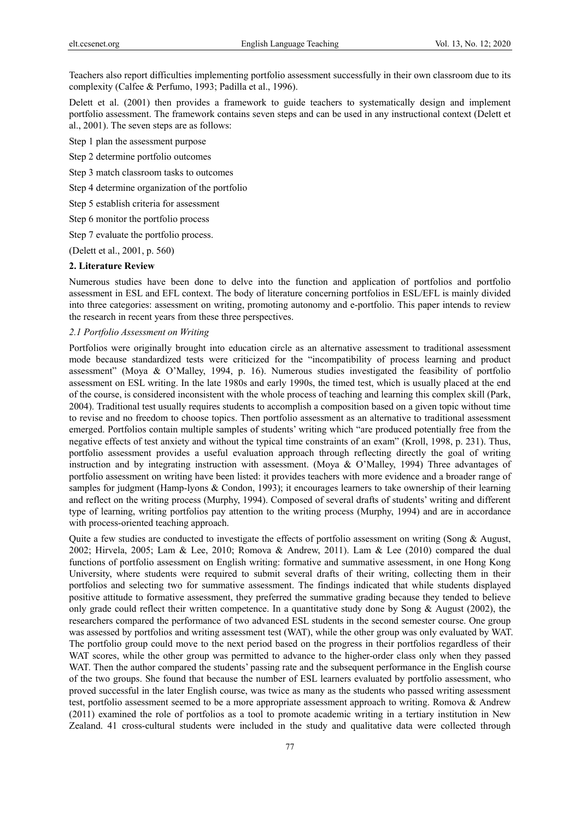Teachers also report difficulties implementing portfolio assessment successfully in their own classroom due to its complexity (Calfee & Perfumo, 1993; Padilla et al., 1996).

Delett et al. (2001) then provides a framework to guide teachers to systematically design and implement portfolio assessment. The framework contains seven steps and can be used in any instructional context (Delett et al., 2001). The seven steps are as follows:

Step 1 plan the assessment purpose

Step 2 determine portfolio outcomes

Step 3 match classroom tasks to outcomes

Step 4 determine organization of the portfolio

Step 5 establish criteria for assessment

Step 6 monitor the portfolio process

Step 7 evaluate the portfolio process.

(Delett et al., 2001, p. 560)

#### **2. Literature Review**

Numerous studies have been done to delve into the function and application of portfolios and portfolio assessment in ESL and EFL context. The body of literature concerning portfolios in ESL/EFL is mainly divided into three categories: assessment on writing, promoting autonomy and e-portfolio. This paper intends to review the research in recent years from these three perspectives.

#### *2.1 Portfolio Assessment on Writing*

Portfolios were originally brought into education circle as an alternative assessment to traditional assessment mode because standardized tests were criticized for the "incompatibility of process learning and product assessment" (Moya & O'Malley, 1994, p. 16). Numerous studies investigated the feasibility of portfolio assessment on ESL writing. In the late 1980s and early 1990s, the timed test, which is usually placed at the end of the course, is considered inconsistent with the whole process of teaching and learning this complex skill (Park, 2004). Traditional test usually requires students to accomplish a composition based on a given topic without time to revise and no freedom to choose topics. Then portfolio assessment as an alternative to traditional assessment emerged. Portfolios contain multiple samples of students' writing which "are produced potentially free from the negative effects of test anxiety and without the typical time constraints of an exam" (Kroll, 1998, p. 231). Thus, portfolio assessment provides a useful evaluation approach through reflecting directly the goal of writing instruction and by integrating instruction with assessment. (Moya & O'Malley, 1994) Three advantages of portfolio assessment on writing have been listed: it provides teachers with more evidence and a broader range of samples for judgment (Hamp-lyons & Condon, 1993); it encourages learners to take ownership of their learning and reflect on the writing process (Murphy, 1994). Composed of several drafts of students' writing and different type of learning, writing portfolios pay attention to the writing process (Murphy, 1994) and are in accordance with process-oriented teaching approach.

Quite a few studies are conducted to investigate the effects of portfolio assessment on writing (Song & August, 2002; Hirvela, 2005; Lam & Lee, 2010; Romova & Andrew, 2011). Lam & Lee (2010) compared the dual functions of portfolio assessment on English writing: formative and summative assessment, in one Hong Kong University, where students were required to submit several drafts of their writing, collecting them in their portfolios and selecting two for summative assessment. The findings indicated that while students displayed positive attitude to formative assessment, they preferred the summative grading because they tended to believe only grade could reflect their written competence. In a quantitative study done by Song  $\&$  August (2002), the researchers compared the performance of two advanced ESL students in the second semester course. One group was assessed by portfolios and writing assessment test (WAT), while the other group was only evaluated by WAT. The portfolio group could move to the next period based on the progress in their portfolios regardless of their WAT scores, while the other group was permitted to advance to the higher-order class only when they passed WAT. Then the author compared the students' passing rate and the subsequent performance in the English course of the two groups. She found that because the number of ESL learners evaluated by portfolio assessment, who proved successful in the later English course, was twice as many as the students who passed writing assessment test, portfolio assessment seemed to be a more appropriate assessment approach to writing. Romova & Andrew (2011) examined the role of portfolios as a tool to promote academic writing in a tertiary institution in New Zealand. 41 cross-cultural students were included in the study and qualitative data were collected through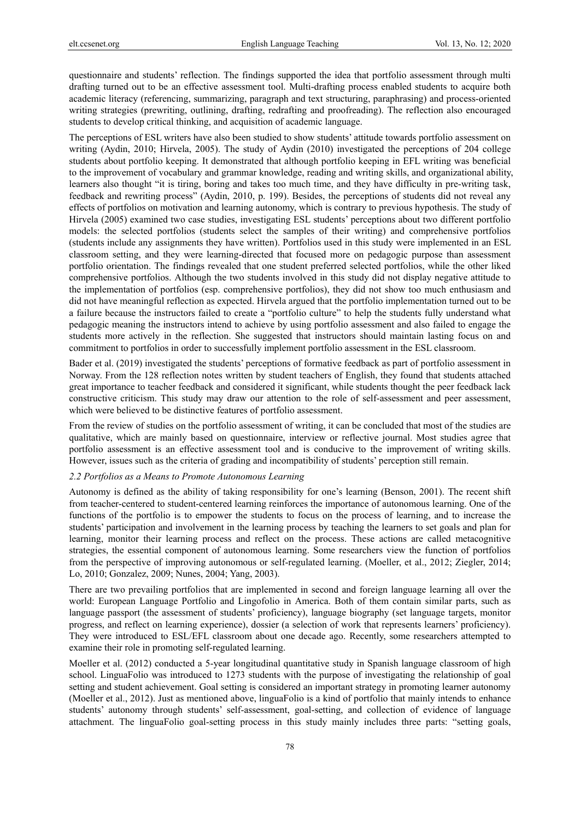questionnaire and students' reflection. The findings supported the idea that portfolio assessment through multi drafting turned out to be an effective assessment tool. Multi-drafting process enabled students to acquire both academic literacy (referencing, summarizing, paragraph and text structuring, paraphrasing) and process-oriented writing strategies (prewriting, outlining, drafting, redrafting and proofreading). The reflection also encouraged students to develop critical thinking, and acquisition of academic language.

The perceptions of ESL writers have also been studied to show students' attitude towards portfolio assessment on writing (Aydin, 2010; Hirvela, 2005). The study of Aydin (2010) investigated the perceptions of 204 college students about portfolio keeping. It demonstrated that although portfolio keeping in EFL writing was beneficial to the improvement of vocabulary and grammar knowledge, reading and writing skills, and organizational ability, learners also thought "it is tiring, boring and takes too much time, and they have difficulty in pre-writing task, feedback and rewriting process" (Aydin, 2010, p. 199). Besides, the perceptions of students did not reveal any effects of portfolios on motivation and learning autonomy, which is contrary to previous hypothesis. The study of Hirvela (2005) examined two case studies, investigating ESL students' perceptions about two different portfolio models: the selected portfolios (students select the samples of their writing) and comprehensive portfolios (students include any assignments they have written). Portfolios used in this study were implemented in an ESL classroom setting, and they were learning-directed that focused more on pedagogic purpose than assessment portfolio orientation. The findings revealed that one student preferred selected portfolios, while the other liked comprehensive portfolios. Although the two students involved in this study did not display negative attitude to the implementation of portfolios (esp. comprehensive portfolios), they did not show too much enthusiasm and did not have meaningful reflection as expected. Hirvela argued that the portfolio implementation turned out to be a failure because the instructors failed to create a "portfolio culture" to help the students fully understand what pedagogic meaning the instructors intend to achieve by using portfolio assessment and also failed to engage the students more actively in the reflection. She suggested that instructors should maintain lasting focus on and commitment to portfolios in order to successfully implement portfolio assessment in the ESL classroom.

Bader et al. (2019) investigated the students' perceptions of formative feedback as part of portfolio assessment in Norway. From the 128 reflection notes written by student teachers of English, they found that students attached great importance to teacher feedback and considered it significant, while students thought the peer feedback lack constructive criticism. This study may draw our attention to the role of self-assessment and peer assessment, which were believed to be distinctive features of portfolio assessment.

From the review of studies on the portfolio assessment of writing, it can be concluded that most of the studies are qualitative, which are mainly based on questionnaire, interview or reflective journal. Most studies agree that portfolio assessment is an effective assessment tool and is conducive to the improvement of writing skills. However, issues such as the criteria of grading and incompatibility of students' perception still remain.

### *2.2 Portfolios as a Means to Promote Autonomous Learning*

Autonomy is defined as the ability of taking responsibility for one's learning (Benson, 2001). The recent shift from teacher-centered to student-centered learning reinforces the importance of autonomous learning. One of the functions of the portfolio is to empower the students to focus on the process of learning, and to increase the students' participation and involvement in the learning process by teaching the learners to set goals and plan for learning, monitor their learning process and reflect on the process. These actions are called metacognitive strategies, the essential component of autonomous learning. Some researchers view the function of portfolios from the perspective of improving autonomous or self-regulated learning. (Moeller, et al., 2012; Ziegler, 2014; Lo, 2010; Gonzalez, 2009; Nunes, 2004; Yang, 2003).

There are two prevailing portfolios that are implemented in second and foreign language learning all over the world: European Language Portfolio and Lingofolio in America. Both of them contain similar parts, such as language passport (the assessment of students' proficiency), language biography (set language targets, monitor progress, and reflect on learning experience), dossier (a selection of work that represents learners' proficiency). They were introduced to ESL/EFL classroom about one decade ago. Recently, some researchers attempted to examine their role in promoting self-regulated learning.

Moeller et al. (2012) conducted a 5-year longitudinal quantitative study in Spanish language classroom of high school. LinguaFolio was introduced to 1273 students with the purpose of investigating the relationship of goal setting and student achievement. Goal setting is considered an important strategy in promoting learner autonomy (Moeller et al., 2012). Just as mentioned above, linguaFolio is a kind of portfolio that mainly intends to enhance students' autonomy through students' self-assessment, goal-setting, and collection of evidence of language attachment. The linguaFolio goal-setting process in this study mainly includes three parts: "setting goals,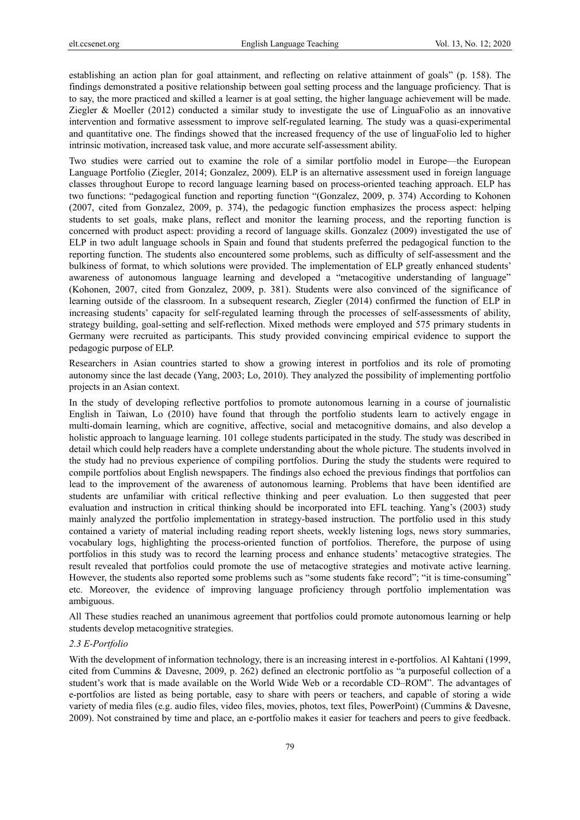establishing an action plan for goal attainment, and reflecting on relative attainment of goals" (p. 158). The findings demonstrated a positive relationship between goal setting process and the language proficiency. That is to say, the more practiced and skilled a learner is at goal setting, the higher language achievement will be made. Ziegler & Moeller (2012) conducted a similar study to investigate the use of LinguaFolio as an innovative intervention and formative assessment to improve self-regulated learning. The study was a quasi-experimental and quantitative one. The findings showed that the increased frequency of the use of linguaFolio led to higher intrinsic motivation, increased task value, and more accurate self-assessment ability.

Two studies were carried out to examine the role of a similar portfolio model in Europe—the European Language Portfolio (Ziegler, 2014; Gonzalez, 2009). ELP is an alternative assessment used in foreign language classes throughout Europe to record language learning based on process-oriented teaching approach. ELP has two functions: "pedagogical function and reporting function "(Gonzalez, 2009, p. 374) According to Kohonen (2007, cited from Gonzalez, 2009, p. 374), the pedagogic function emphasizes the process aspect: helping students to set goals, make plans, reflect and monitor the learning process, and the reporting function is concerned with product aspect: providing a record of language skills. Gonzalez (2009) investigated the use of ELP in two adult language schools in Spain and found that students preferred the pedagogical function to the reporting function. The students also encountered some problems, such as difficulty of self-assessment and the bulkiness of format, to which solutions were provided. The implementation of ELP greatly enhanced students' awareness of autonomous language learning and developed a "metacogitive understanding of language" (Kohonen, 2007, cited from Gonzalez, 2009, p. 381). Students were also convinced of the significance of learning outside of the classroom. In a subsequent research, Ziegler (2014) confirmed the function of ELP in increasing students' capacity for self-regulated learning through the processes of self-assessments of ability, strategy building, goal-setting and self-reflection. Mixed methods were employed and 575 primary students in Germany were recruited as participants. This study provided convincing empirical evidence to support the pedagogic purpose of ELP.

Researchers in Asian countries started to show a growing interest in portfolios and its role of promoting autonomy since the last decade (Yang, 2003; Lo, 2010). They analyzed the possibility of implementing portfolio projects in an Asian context.

In the study of developing reflective portfolios to promote autonomous learning in a course of journalistic English in Taiwan, Lo (2010) have found that through the portfolio students learn to actively engage in multi-domain learning, which are cognitive, affective, social and metacognitive domains, and also develop a holistic approach to language learning. 101 college students participated in the study. The study was described in detail which could help readers have a complete understanding about the whole picture. The students involved in the study had no previous experience of compiling portfolios. During the study the students were required to compile portfolios about English newspapers. The findings also echoed the previous findings that portfolios can lead to the improvement of the awareness of autonomous learning. Problems that have been identified are students are unfamiliar with critical reflective thinking and peer evaluation. Lo then suggested that peer evaluation and instruction in critical thinking should be incorporated into EFL teaching. Yang's (2003) study mainly analyzed the portfolio implementation in strategy-based instruction. The portfolio used in this study contained a variety of material including reading report sheets, weekly listening logs, news story summaries, vocabulary logs, highlighting the process-oriented function of portfolios. Therefore, the purpose of using portfolios in this study was to record the learning process and enhance students' metacogtive strategies. The result revealed that portfolios could promote the use of metacogtive strategies and motivate active learning. However, the students also reported some problems such as "some students fake record"; "it is time-consuming" etc. Moreover, the evidence of improving language proficiency through portfolio implementation was ambiguous.

All These studies reached an unanimous agreement that portfolios could promote autonomous learning or help students develop metacognitive strategies.

## *2.3 E-Portfolio*

With the development of information technology, there is an increasing interest in e-portfolios. Al Kahtani (1999, cited from Cummins & Davesne, 2009, p. 262) defined an electronic portfolio as "a purposeful collection of a student's work that is made available on the World Wide Web or a recordable CD–ROM". The advantages of e-portfolios are listed as being portable, easy to share with peers or teachers, and capable of storing a wide variety of media files (e.g. audio files, video files, movies, photos, text files, PowerPoint) (Cummins & Davesne, 2009). Not constrained by time and place, an e-portfolio makes it easier for teachers and peers to give feedback.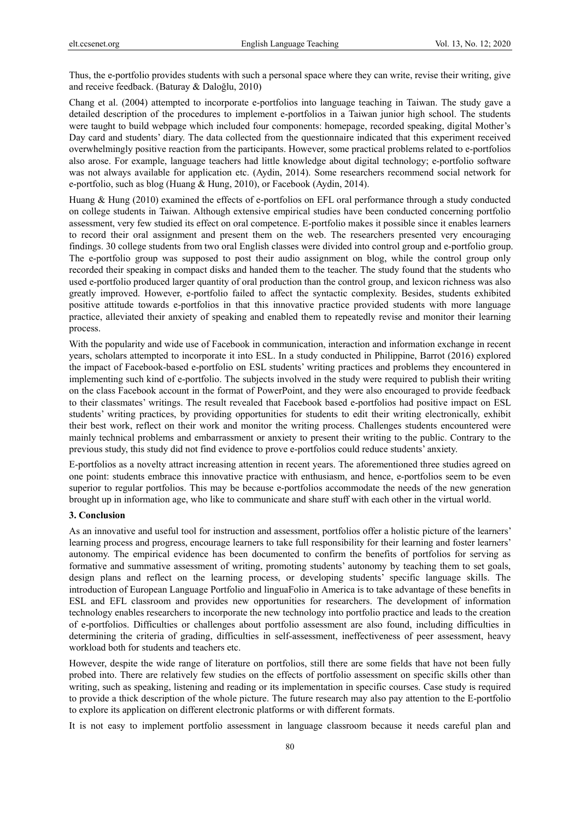Thus, the e-portfolio provides students with such a personal space where they can write, revise their writing, give and receive feedback. (Baturay & Daloğlu, 2010)

Chang et al. (2004) attempted to incorporate e-portfolios into language teaching in Taiwan. The study gave a detailed description of the procedures to implement e-portfolios in a Taiwan junior high school. The students were taught to build webpage which included four components: homepage, recorded speaking, digital Mother's Day card and students' diary. The data collected from the questionnaire indicated that this experiment received overwhelmingly positive reaction from the participants. However, some practical problems related to e-portfolios also arose. For example, language teachers had little knowledge about digital technology; e-portfolio software was not always available for application etc. (Aydin, 2014). Some researchers recommend social network for e-portfolio, such as blog (Huang & Hung, 2010), or Facebook (Aydin, 2014).

Huang & Hung (2010) examined the effects of e-portfolios on EFL oral performance through a study conducted on college students in Taiwan. Although extensive empirical studies have been conducted concerning portfolio assessment, very few studied its effect on oral competence. E-portfolio makes it possible since it enables learners to record their oral assignment and present them on the web. The researchers presented very encouraging findings. 30 college students from two oral English classes were divided into control group and e-portfolio group. The e-portfolio group was supposed to post their audio assignment on blog, while the control group only recorded their speaking in compact disks and handed them to the teacher. The study found that the students who used e-portfolio produced larger quantity of oral production than the control group, and lexicon richness was also greatly improved. However, e-portfolio failed to affect the syntactic complexity. Besides, students exhibited positive attitude towards e-portfolios in that this innovative practice provided students with more language practice, alleviated their anxiety of speaking and enabled them to repeatedly revise and monitor their learning process.

With the popularity and wide use of Facebook in communication, interaction and information exchange in recent years, scholars attempted to incorporate it into ESL. In a study conducted in Philippine, Barrot (2016) explored the impact of Facebook-based e-portfolio on ESL students' writing practices and problems they encountered in implementing such kind of e-portfolio. The subjects involved in the study were required to publish their writing on the class Facebook account in the format of PowerPoint, and they were also encouraged to provide feedback to their classmates' writings. The result revealed that Facebook based e-portfolios had positive impact on ESL students' writing practices, by providing opportunities for students to edit their writing electronically, exhibit their best work, reflect on their work and monitor the writing process. Challenges students encountered were mainly technical problems and embarrassment or anxiety to present their writing to the public. Contrary to the previous study, this study did not find evidence to prove e-portfolios could reduce students' anxiety.

E-portfolios as a novelty attract increasing attention in recent years. The aforementioned three studies agreed on one point: students embrace this innovative practice with enthusiasm, and hence, e-portfolios seem to be even superior to regular portfolios. This may be because e-portfolios accommodate the needs of the new generation brought up in information age, who like to communicate and share stuff with each other in the virtual world.

## **3. Conclusion**

As an innovative and useful tool for instruction and assessment, portfolios offer a holistic picture of the learners' learning process and progress, encourage learners to take full responsibility for their learning and foster learners' autonomy. The empirical evidence has been documented to confirm the benefits of portfolios for serving as formative and summative assessment of writing, promoting students' autonomy by teaching them to set goals, design plans and reflect on the learning process, or developing students' specific language skills. The introduction of European Language Portfolio and linguaFolio in America is to take advantage of these benefits in ESL and EFL classroom and provides new opportunities for researchers. The development of information technology enables researchers to incorporate the new technology into portfolio practice and leads to the creation of e-portfolios. Difficulties or challenges about portfolio assessment are also found, including difficulties in determining the criteria of grading, difficulties in self-assessment, ineffectiveness of peer assessment, heavy workload both for students and teachers etc.

However, despite the wide range of literature on portfolios, still there are some fields that have not been fully probed into. There are relatively few studies on the effects of portfolio assessment on specific skills other than writing, such as speaking, listening and reading or its implementation in specific courses. Case study is required to provide a thick description of the whole picture. The future research may also pay attention to the E-portfolio to explore its application on different electronic platforms or with different formats.

It is not easy to implement portfolio assessment in language classroom because it needs careful plan and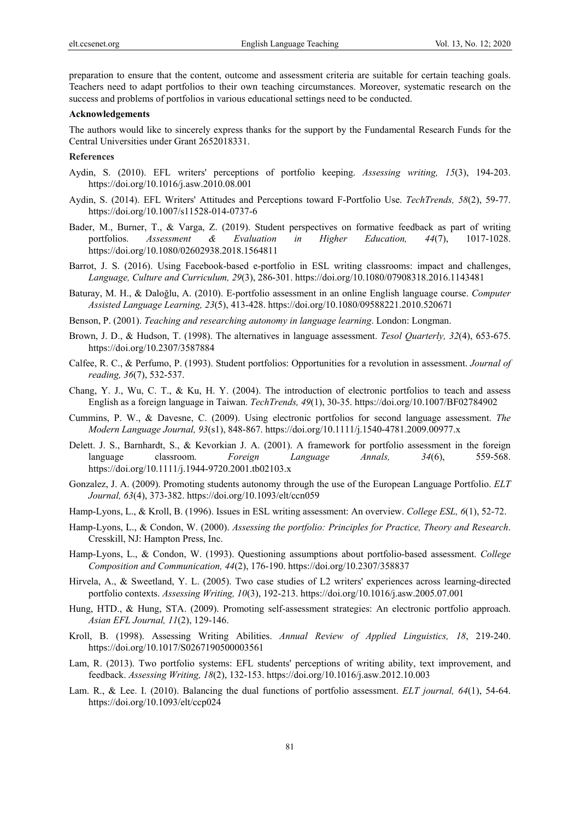preparation to ensure that the content, outcome and assessment criteria are suitable for certain teaching goals. Teachers need to adapt portfolios to their own teaching circumstances. Moreover, systematic research on the success and problems of portfolios in various educational settings need to be conducted.

#### **Acknowledgements**

The authors would like to sincerely express thanks for the support by the Fundamental Research Funds for the Central Universities under Grant 2652018331.

#### **References**

- Aydin, S. (2010). EFL writers' perceptions of portfolio keeping. *Assessing writing, 15*(3), 194-203. https://doi.org/10.1016/j.asw.2010.08.001
- Aydin, S. (2014). EFL Writers' Attitudes and Perceptions toward F-Portfolio Use. *TechTrends, 58*(2), 59-77. https://doi.org/10.1007/s11528-014-0737-6
- Bader, M., Burner, T., & Varga, Z. (2019). Student perspectives on formative feedback as part of writing portfolios. *Assessment & Evaluation in Higher Education, 44*(7), 1017-1028. https://doi.org/10.1080/02602938.2018.1564811
- Barrot, J. S. (2016). Using Facebook-based e-portfolio in ESL writing classrooms: impact and challenges, *Language, Culture and Curriculum, 29*(3), 286-301. https://doi.org/10.1080/07908318.2016.1143481
- Baturay, M. H., & Daloğlu, A. (2010). E-portfolio assessment in an online English language course. *Computer Assisted Language Learning, 23*(5), 413-428. https://doi.org/10.1080/09588221.2010.520671
- Benson, P. (2001). *Teaching and researching autonomy in language learning*. London: Longman.
- Brown, J. D., & Hudson, T. (1998). The alternatives in language assessment. *Tesol Quarterly, 32*(4), 653-675. https://doi.org/10.2307/3587884
- Calfee, R. C., & Perfumo, P. (1993). Student portfolios: Opportunities for a revolution in assessment. *Journal of reading, 36*(7), 532-537.
- Chang, Y. J., Wu, C. T., & Ku, H. Y. (2004). The introduction of electronic portfolios to teach and assess English as a foreign language in Taiwan. *TechTrends, 49*(1), 30-35. https://doi.org/10.1007/BF02784902
- Cummins, P. W., & Davesne, C. (2009). Using electronic portfolios for second language assessment. *The Modern Language Journal, 93*(s1), 848-867. https://doi.org/10.1111/j.1540-4781.2009.00977.x
- Delett. J. S., Barnhardt, S., & Kevorkian J. A. (2001). A framework for portfolio assessment in the foreign language classroom. *Foreign Language Annals, 34*(6), 559-568. https://doi.org/10.1111/j.1944-9720.2001.tb02103.x
- Gonzalez, J. A. (2009). Promoting students autonomy through the use of the European Language Portfolio. *ELT Journal, 63*(4), 373-382. https://doi.org/10.1093/elt/ccn059
- Hamp-Lyons, L., & Kroll, B. (1996). Issues in ESL writing assessment: An overview. *College ESL, 6*(1), 52-72.
- Hamp-Lyons, L., & Condon, W. (2000). *Assessing the portfolio: Principles for Practice, Theory and Research*. Cresskill, NJ: Hampton Press, Inc.
- Hamp-Lyons, L., & Condon, W. (1993). Questioning assumptions about portfolio-based assessment. *College Composition and Communication, 44*(2), 176-190. https://doi.org/10.2307/358837
- Hirvela, A., & Sweetland, Y. L. (2005). Two case studies of L2 writers' experiences across learning-directed portfolio contexts. *Assessing Writing, 10*(3), 192-213. https://doi.org/10.1016/j.asw.2005.07.001
- Hung, HTD., & Hung, STA. (2009). Promoting self-assessment strategies: An electronic portfolio approach. *Asian EFL Journal, 11*(2), 129-146.
- Kroll, B. (1998). Assessing Writing Abilities. *Annual Review of Applied Linguistics, 18*, 219-240. https://doi.org/10.1017/S0267190500003561
- Lam, R. (2013). Two portfolio systems: EFL students' perceptions of writing ability, text improvement, and feedback. *Assessing Writing, 18*(2), 132-153. https://doi.org/10.1016/j.asw.2012.10.003
- Lam. R., & Lee. I. (2010). Balancing the dual functions of portfolio assessment. *ELT journal, 64*(1), 54-64. https://doi.org/10.1093/elt/ccp024